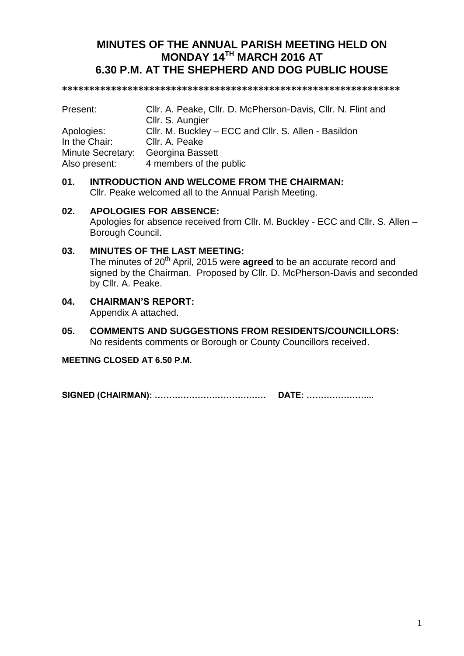# **MINUTES OF THE ANNUAL PARISH MEETING HELD ON MONDAY 14TH MARCH 2016 AT 6.30 P.M. AT THE SHEPHERD AND DOG PUBLIC HOUSE**

**\*\*\*\*\*\*\*\*\*\*\*\*\*\*\*\*\*\*\*\*\*\*\*\*\*\*\*\*\*\*\*\*\*\*\*\*\*\*\*\*\*\*\*\*\*\*\*\*\*\*\*\*\*\*\*\*\*\*\*\*\*\***

| Present:          | Cllr. A. Peake, Cllr. D. McPherson-Davis, Cllr. N. Flint and |
|-------------------|--------------------------------------------------------------|
|                   | Cllr. S. Aungier                                             |
| Apologies:        | CIIr. M. Buckley – ECC and CIIr. S. Allen - Basildon         |
| In the Chair:     | Cllr. A. Peake                                               |
| Minute Secretary: | Georgina Bassett                                             |
| Also present:     | 4 members of the public                                      |

# **01. INTRODUCTION AND WELCOME FROM THE CHAIRMAN:** Cllr. Peake welcomed all to the Annual Parish Meeting.

# **02. APOLOGIES FOR ABSENCE:**

Apologies for absence received from Cllr. M. Buckley - ECC and Cllr. S. Allen – Borough Council.

# **03. MINUTES OF THE LAST MEETING:**

The minutes of 20<sup>th</sup> April, 2015 were **agreed** to be an accurate record and signed by the Chairman. Proposed by Cllr. D. McPherson-Davis and seconded by Cllr. A. Peake.

### **04. CHAIRMAN'S REPORT:** Appendix A attached.

**05. COMMENTS AND SUGGESTIONS FROM RESIDENTS/COUNCILLORS:** No residents comments or Borough or County Councillors received.

**MEETING CLOSED AT 6.50 P.M.**

**SIGNED (CHAIRMAN): ………………………………… DATE: …………………...**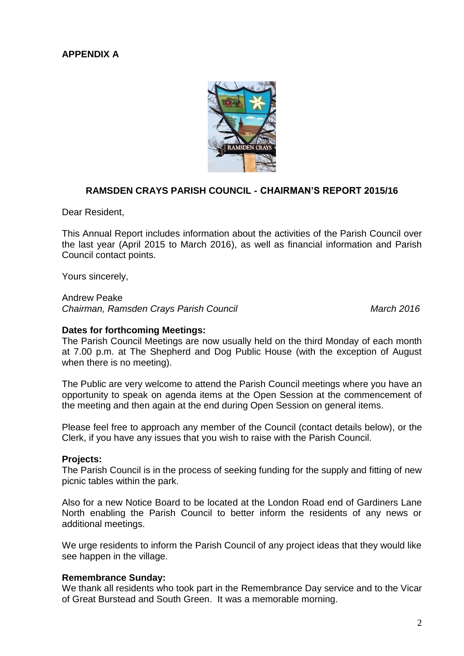# **APPENDIX A**



# **RAMSDEN CRAYS PARISH COUNCIL - CHAIRMAN'S REPORT 2015/16**

Dear Resident,

This Annual Report includes information about the activities of the Parish Council over the last year (April 2015 to March 2016), as well as financial information and Parish Council contact points.

Yours sincerely,

Andrew Peake *Chairman, Ramsden Crays Parish Council March 2016*

#### **Dates for forthcoming Meetings:**

The Parish Council Meetings are now usually held on the third Monday of each month at 7.00 p.m. at The Shepherd and Dog Public House (with the exception of August when there is no meeting).

The Public are very welcome to attend the Parish Council meetings where you have an opportunity to speak on agenda items at the Open Session at the commencement of the meeting and then again at the end during Open Session on general items.

Please feel free to approach any member of the Council (contact details below), or the Clerk, if you have any issues that you wish to raise with the Parish Council.

### **Projects:**

The Parish Council is in the process of seeking funding for the supply and fitting of new picnic tables within the park.

Also for a new Notice Board to be located at the London Road end of Gardiners Lane North enabling the Parish Council to better inform the residents of any news or additional meetings.

We urge residents to inform the Parish Council of any project ideas that they would like see happen in the village.

### **Remembrance Sunday:**

We thank all residents who took part in the Remembrance Day service and to the Vicar of Great Burstead and South Green. It was a memorable morning.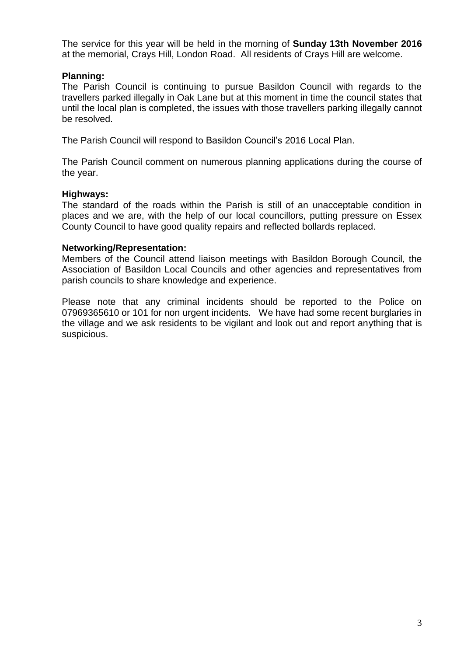The service for this year will be held in the morning of **Sunday 13th November 2016** at the memorial, Crays Hill, London Road. All residents of Crays Hill are welcome.

# **Planning:**

The Parish Council is continuing to pursue Basildon Council with regards to the travellers parked illegally in Oak Lane but at this moment in time the council states that until the local plan is completed, the issues with those travellers parking illegally cannot be resolved.

The Parish Council will respond to Basildon Council's 2016 Local Plan.

The Parish Council comment on numerous planning applications during the course of the year.

# **Highways:**

The standard of the roads within the Parish is still of an unacceptable condition in places and we are, with the help of our local councillors, putting pressure on Essex County Council to have good quality repairs and reflected bollards replaced.

# **Networking/Representation:**

Members of the Council attend liaison meetings with Basildon Borough Council, the Association of Basildon Local Councils and other agencies and representatives from parish councils to share knowledge and experience.

Please note that any criminal incidents should be reported to the Police on 07969365610 or 101 for non urgent incidents. We have had some recent burglaries in the village and we ask residents to be vigilant and look out and report anything that is suspicious.